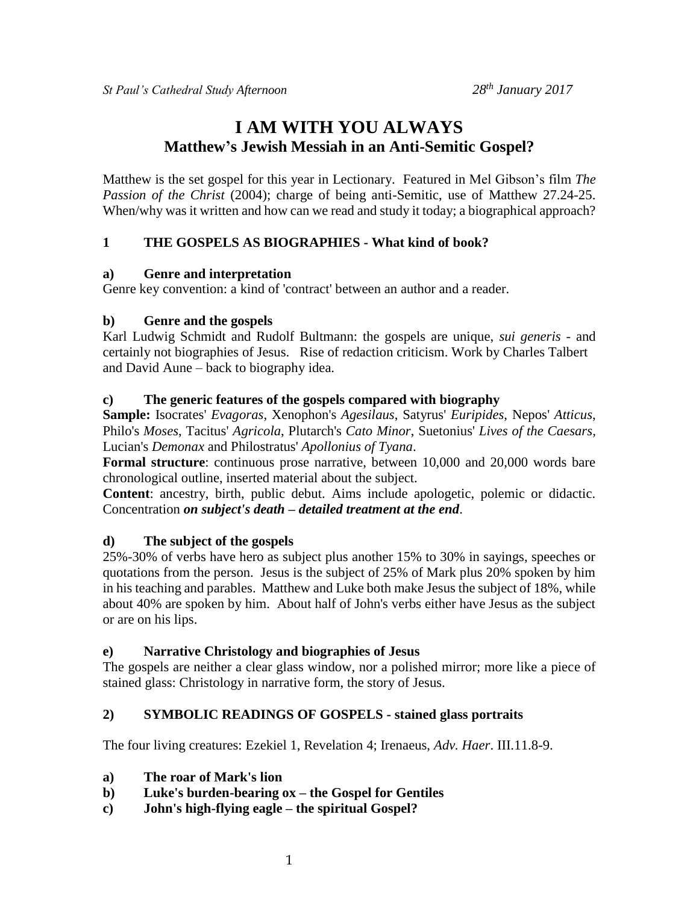# **I AM WITH YOU ALWAYS Matthew's Jewish Messiah in an Anti-Semitic Gospel?**

Matthew is the set gospel for this year in Lectionary. Featured in Mel Gibson's film *The Passion of the Christ* (2004); charge of being anti-Semitic, use of Matthew 27.24-25. When/why was it written and how can we read and study it today; a biographical approach?

# **1 THE GOSPELS AS BIOGRAPHIES - What kind of book?**

#### **a) Genre and interpretation**

Genre key convention: a kind of 'contract' between an author and a reader.

#### **b) Genre and the gospels**

Karl Ludwig Schmidt and Rudolf Bultmann: the gospels are unique, *sui generis* - and certainly not biographies of Jesus. Rise of redaction criticism. Work by Charles Talbert and David Aune – back to biography idea.

#### **c) The generic features of the gospels compared with biography**

**Sample:** Isocrates' *Evagoras*, Xenophon's *Agesilaus*, Satyrus' *Euripides*, Nepos' *Atticus*, Philo's *Moses*, Tacitus' *Agricola*, Plutarch's *Cato Minor*, Suetonius' *Lives of the Caesars*, Lucian's *Demonax* and Philostratus' *Apollonius of Tyana*.

**Formal structure**: continuous prose narrative, between 10,000 and 20,000 words bare chronological outline, inserted material about the subject.

**Content**: ancestry, birth, public debut. Aims include apologetic, polemic or didactic. Concentration *on subject's death – detailed treatment at the end*.

#### **d) The subject of the gospels**

25%-30% of verbs have hero as subject plus another 15% to 30% in sayings, speeches or quotations from the person. Jesus is the subject of 25% of Mark plus 20% spoken by him in his teaching and parables. Matthew and Luke both make Jesus the subject of 18%, while about 40% are spoken by him. About half of John's verbs either have Jesus as the subject or are on his lips.

#### **e) Narrative Christology and biographies of Jesus**

The gospels are neither a clear glass window, nor a polished mirror; more like a piece of stained glass: Christology in narrative form, the story of Jesus.

#### **2) SYMBOLIC READINGS OF GOSPELS - stained glass portraits**

The four living creatures: Ezekiel 1, Revelation 4; Irenaeus, *Adv. Haer*. III.11.8-9.

- **a) The roar of Mark's lion**
- **b) Luke's burden-bearing ox – the Gospel for Gentiles**
- **c) John's high-flying eagle – the spiritual Gospel?**